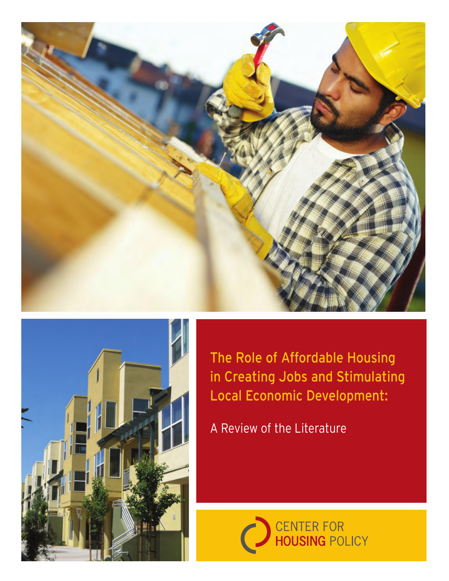



The Role of Affordable Housing in Creating Jobs and Stimulating Local Economic Development:

A Review of the Literature

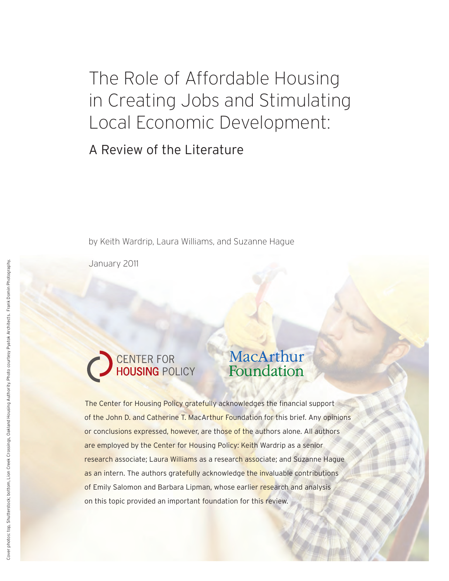The Role of Affordable Housing in Creating Jobs and Stimulating Local Economic Development:

A Review of the Literature

by Keith Wardrip, Laura Williams, and Suzanne Hague

January 2011



# MacArthur Foundation

The Center for Housing Policy gratefully acknowledges the financial support of the John D. and Catherine T. MacArthur Foundation for this brief. Any opinions or conclusions expressed, however, are those of the authors alone. All authors are employed by the Center for Housing Policy: Keith Wardrip as a senior research associate; Laura Williams as a research associate; and Suzanne Hague as an intern. The authors gratefully acknowledge the invaluable contributions of Emily Salomon and Barbara Lipman, whose earlier research and analysis on this topic provided an important foundation for this review.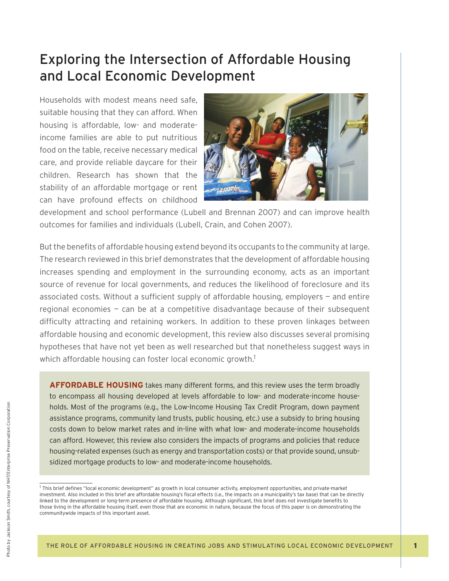## Exploring the Intersection of Affordable Housing and Local Economic Development

Households with modest means need safe, suitable housing that they can afford. When housing is affordable, low- and moderateincome families are able to put nutritious food on the table, receive necessary medical care, and provide reliable daycare for their children. Research has shown that the stability of an affordable mortgage or rent can have profound effects on childhood



development and school performance (Lubell and Brennan 2007) and can improve health outcomes for families and individuals (Lubell, Crain, and Cohen 2007).

But the benefits of affordable housing extend beyond its occupants to the community at large. The research reviewed in this brief demonstrates that the development of affordable housing increases spending and employment in the surrounding economy, acts as an important source of revenue for local governments, and reduces the likelihood of foreclosure and its associated costs. Without a sufficient supply of affordable housing, employers  $-$  and entire regional economies — can be at a competitive disadvantage because of their subsequent difficulty attracting and retaining workers. In addition to these proven linkages between affordable housing and economic development, this review also discusses several promising hypotheses that have not yet been as well researched but that nonetheless suggest ways in which affordable housing can foster local economic growth.<sup>1</sup>

**AFFORDABLE HOUSING** takes many different forms, and this review uses the term broadly to encompass all housing developed at levels affordable to low- and moderate-income households. Most of the programs (e.g., the Low-Income Housing Tax Credit Program, down payment assistance programs, community land trusts, public housing, etc.) use a subsidy to bring housing costs down to below market rates and in-line with what low- and moderate-income households can afford. However, this review also considers the impacts of programs and policies that reduce housing-related expenses (such as energy and transportation costs) or that provide sound, unsubsidized mortgage products to low- and moderate-income households.

<sup>&</sup>lt;sup>1</sup> This brief defines "local economic development" as growth in local consumer activity, employment opportunities, and private-market investment. Also included in this brief are affordable housing's fiscal effects (i.e., the impacts on a municipality's tax base) that can be directly linked to the development or long-term presence of affordable housing. Although significant, this brief does not investigate benefits to those living in the affordable housing itself, even those that are economic in nature, because the focus of this paper is on demonstrating the communitywide impacts of this important asset.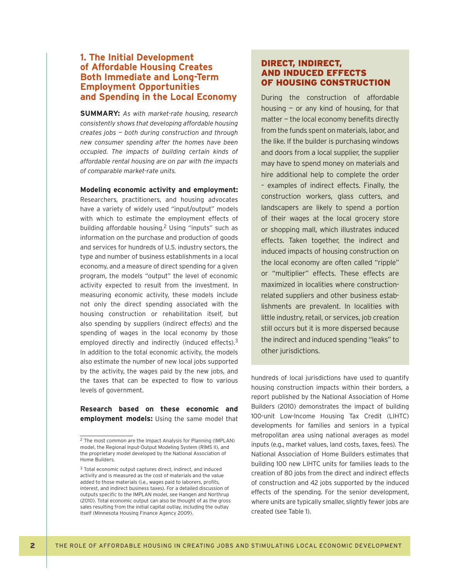## **1. The Initial Development of Affordable Housing Creates Both Immediate and Long-Term Employment Opportunities and Spending in the Local Economy**

**SUMMARY:** *As with market-rate housing, research consistently shows that developing affordable housing creates jobs — both during construction and through new consumer spending after the homes have been occupied. The impacts of building certain kinds of affordable rental housing are on par with the impacts of comparable market-rate units.* 

#### **Modeling economic activity and employment:**

Researchers, practitioners, and housing advocates have a variety of widely used "input/output" models with which to estimate the employment effects of building affordable housing.2 Using "inputs" such as information on the purchase and production of goods and services for hundreds of U.S. industry sectors, the type and number of business establishments in a local economy, and a measure of direct spending for a given program, the models "output" the level of economic activity expected to result from the investment. In measuring economic activity, these models include not only the direct spending associated with the housing construction or rehabilitation itself, but also spending by suppliers (indirect effects) and the spending of wages in the local economy by those employed directly and indirectly (induced effects).<sup>3</sup> In addition to the total economic activity, the models also estimate the number of new local jobs supported by the activity, the wages paid by the new jobs, and the taxes that can be expected to flow to various levels of government.

**Research based on these economic and employment models:** Using the same model that

#### DIRECT, INDIRECT, AND INDUCED EFFECTS OF HOUSING CONSTRUCTION

During the construction of affordable housing  $-$  or any kind of housing, for that  $matter - the local economy benefits directly$ from the funds spent on materials, labor, and the like. If the builder is purchasing windows and doors from a local supplier, the supplier may have to spend money on materials and hire additional help to complete the order – examples of indirect effects. Finally, the construction workers, glass cutters, and landscapers are likely to spend a portion of their wages at the local grocery store or shopping mall, which illustrates induced effects. Taken together, the indirect and induced impacts of housing construction on the local economy are often called "ripple" or "multiplier" effects. These effects are maximized in localities where constructionrelated suppliers and other business establishments are prevalent. In localities with little industry, retail, or services, job creation still occurs but it is more dispersed because the indirect and induced spending "leaks" to other jurisdictions.

hundreds of local jurisdictions have used to quantify housing construction impacts within their borders, a report published by the National Association of Home Builders (2010) demonstrates the impact of building 100-unit Low-Income Housing Tax Credit (LIHTC) developments for families and seniors in a typical metropolitan area using national averages as model inputs (e.g., market values, land costs, taxes, fees). The National Association of Home Builders estimates that building 100 new LIHTC units for families leads to the creation of 80 jobs from the direct and indirect effects of construction and 42 jobs supported by the induced effects of the spending. For the senior development, where units are typically smaller, slightly fewer jobs are created (see Table 1).

<sup>2</sup> The most common are the Impact Analysis for Planning (IMPLAN) model, the Regional Input-Output Modeling System (RIMS II), and the proprietary model developed by the National Association of Home Builders.

<sup>3</sup> Total economic output captures direct, indirect, and induced activity and is measured as the cost of materials and the value added to those materials (i.e., wages paid to laborers, profits, interest, and indirect business taxes). For a detailed discussion of outputs specific to the IMPLAN model, see Hangen and Northrup (2010). Total economic output can also be thought of as the gross sales resulting from the initial capital outlay, including the outlay itself (Minnesota Housing Finance Agency 2009).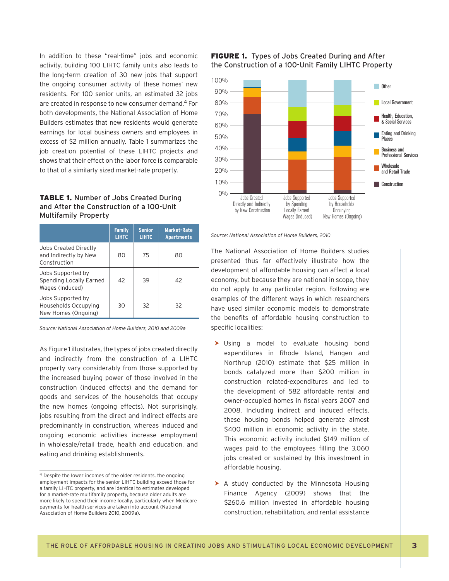In addition to these "real-time" jobs and economic activity, building 100 LIHTC family units also leads to the long-term creation of 30 new jobs that support the ongoing consumer activity of these homes' new residents. For 100 senior units, an estimated 32 jobs are created in response to new consumer demand.4 For both developments, the National Association of Home Builders estimates that new residents would generate earnings for local business owners and employees in excess of \$2 million annually. Table 1 summarizes the job creation potential of these LIHTC projects and shows that their effect on the labor force is comparable to that of a similarly sized market-rate property.

#### TABLE 1. Number of Jobs Created During and After the Construction of a 100-Unit Multifamily Property

|                                                                  | <b>Family</b><br><b>LIHTC</b> | <b>Senior</b><br><b>LIHTC</b> | <b>Market-Rate</b><br><b>Apartments</b> |
|------------------------------------------------------------------|-------------------------------|-------------------------------|-----------------------------------------|
| Jobs Created Directly<br>and Indirectly by New<br>Construction   | 80                            | 75                            | 80                                      |
| Jobs Supported by<br>Spending Locally Earned<br>Wages (Induced)  | 42                            | 39                            | 42                                      |
| Jobs Supported by<br>Households Occupying<br>New Homes (Ongoing) | 30                            | 32                            | 32                                      |

*Source: National Association of Home Builders, 2010 and 2009a*

As Figure 1 illustrates, the types of jobs created directly and indirectly from the construction of a LIHTC property vary considerably from those supported by the increased buying power of those involved in the construction (induced effects) and the demand for goods and services of the households that occupy the new homes (ongoing effects). Not surprisingly, jobs resulting from the direct and indirect effects are predominantly in construction, whereas induced and ongoing economic activities increase employment in wholesale/retail trade, health and education, and eating and drinking establishments.

#### FIGURE 1. Types of Jobs Created During and After the Construction of a 100-Unit Family LIHTC Property



*Source: National Association of Home Builders, 2010*

The National Association of Home Builders studies presented thus far effectively illustrate how the development of affordable housing can affect a local economy, but because they are national in scope, they do not apply to any particular region. Following are examples of the different ways in which researchers have used similar economic models to demonstrate the benefits of affordable housing construction to specific localities:

- $\blacktriangleright$  Using a model to evaluate housing bond expenditures in Rhode Island, Hangen and Northrup (2010) estimate that \$25 million in bonds catalyzed more than \$200 million in construction related-expenditures and led to the development of 582 affordable rental and owner-occupied homes in fiscal years 2007 and 2008. Including indirect and induced effects, these housing bonds helped generate almost \$400 million in economic activity in the state. This economic activity included \$149 million of wages paid to the employees filling the 3,060 jobs created or sustained by this investment in affordable housing.
- $\triangleright$  A study conducted by the Minnesota Housing Finance Agency (2009) shows that the \$260.6 million invested in affordable housing construction, rehabilitation, and rental assistance

<sup>4</sup> Despite the lower incomes of the older residents, the ongoing employment impacts for the senior LIHTC building exceed those for a family LIHTC property, and are identical to estimates developed for a market-rate multifamily property, because older adults are more likely to spend their income locally, particularly when Medicare payments for health services are taken into account (National Association of Home Builders 2010, 2009a).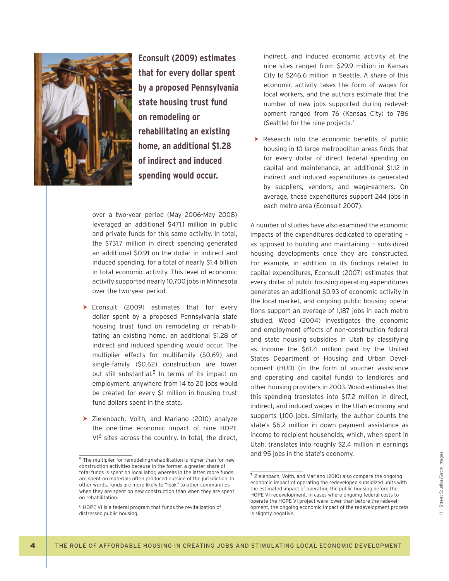

**Econsult (2009) estimates that for every dollar spent by a proposed Pennsylvania state housing trust fund on remodeling or rehabilitating an existing home, an additional \$1.28 of indirect and induced spending would occur.** 

over a two-year period (May 2006-May 2008) leveraged an additional \$471.1 million in public and private funds for this same activity. In total, the \$731.7 million in direct spending generated an additional \$0.91 on the dollar in indirect and induced spending, for a total of nearly \$1.4 billion in total economic activity. This level of economic activity supported nearly 10,700 jobs in Minnesota over the two-year period.

- $\blacktriangleright$  Econsult (2009) estimates that for every dollar spent by a proposed Pennsylvania state housing trust fund on remodeling or rehabilitating an existing home, an additional \$1.28 of indirect and induced spending would occur. The multiplier effects for multifamily (\$0.69) and single-family (\$0.62) construction are lower but still substantial.<sup>5</sup> In terms of its impact on employment, anywhere from 14 to 20 jobs would be created for every \$1 million in housing trust fund dollars spent in the state.
- $\triangleright$  Zielenbach, Voith, and Mariano (2010) analyze the one-time economic impact of nine HOPE VI<sup>6</sup> sites across the country. In total, the direct,

indirect, and induced economic activity at the nine sites ranged from \$29.9 million in Kansas City to \$246.6 million in Seattle. A share of this economic activity takes the form of wages for local workers, and the authors estimate that the number of new jobs supported during redevelopment ranged from 76 (Kansas City) to 786 (Seattle) for the nine projects.7

 $\blacktriangleright$  Research into the economic benefits of public housing in 10 large metropolitan areas finds that for every dollar of direct federal spending on capital and maintenance, an additional \$1.12 in indirect and induced expenditures is generated by suppliers, vendors, and wage-earners. On average, these expenditures support 244 jobs in each metro area (Econsult 2007).

A number of studies have also examined the economic impacts of the expenditures dedicated to operating as opposed to building and maintaining  $-$  subsidized housing developments once they are constructed. For example, in addition to its findings related to capital expenditures, Econsult (2007) estimates that every dollar of public housing operating expenditures generates an additional \$0.93 of economic activity in the local market, and ongoing public housing operations support an average of 1,187 jobs in each metro studied. Wood (2004) investigates the economic and employment effects of non-construction federal and state housing subsidies in Utah by classifying as income the \$61.4 million paid by the United States Department of Housing and Urban Development (HUD) (in the form of voucher assistance and operating and capital funds) to landlords and other housing providers in 2003. Wood estimates that this spending translates into \$17.2 million in direct, indirect, and induced wages in the Utah economy and supports 1,100 jobs. Similarly, the author counts the state's \$6.2 million in down payment assistance as income to recipient households, which, when spent in Utah, translates into roughly \$2.4 million in earnings and 95 jobs in the state's economy.

 $5$  The multiplier for remodeling/rehabilitation is higher than for new construction activities because in the former, a greater share of total funds is spent on local labor, whereas in the latter, more funds are spent on materials often produced outside of the jurisdiction. In other words, funds are more likely to "leak" to other communities when they are spent on new construction than when they are spent on rehabilitation.

<sup>6</sup> HOPE VI is a federal program that funds the revitalization of distressed public housing.

<sup>7</sup> Zielenbach, Voith, and Mariano (2010) also compare the ongoing economic impact of operating the redeveloped subsidized units with the estimated impact of operating the public housing before the HOPE VI redevelopment. In cases where ongoing federal costs to operate the HOPE VI project were lower than before the redevelopment, the ongoing economic impact of the redevelopment process is slightly negative.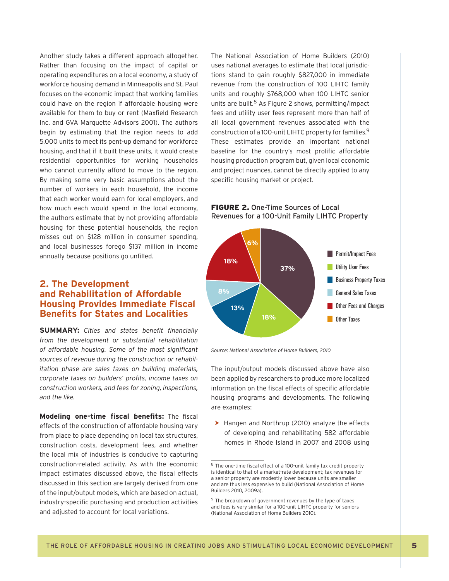Another study takes a different approach altogether. Rather than focusing on the impact of capital or operating expenditures on a local economy, a study of workforce housing demand in Minneapolis and St. Paul focuses on the economic impact that working families could have on the region if affordable housing were available for them to buy or rent (Maxfield Research Inc. and GVA Marquette Advisors 2001). The authors begin by estimating that the region needs to add 5,000 units to meet its pent-up demand for workforce housing, and that if it built these units, it would create residential opportunities for working households who cannot currently afford to move to the region. By making some very basic assumptions about the number of workers in each household, the income that each worker would earn for local employers, and how much each would spend in the local economy, the authors estimate that by not providing affordable housing for these potential households, the region misses out on \$128 million in consumer spending, and local businesses forego \$137 million in income annually because positions go unfilled.

#### **2. The Development and Rehabilitation of Affordable Housing Provides Immediate Fiscal Benefits for States and Localities**

**SUMMARY:** Cities and states benefit financially *from the development or substantial rehabilitation*  of affordable housing. Some of the most significant *sources of revenue during the construction or rehabilitation phase are sales taxes on building materials, corporate taxes on builders' profits, income taxes on construction workers, and fees for zoning, inspections, and the like.* 

**Modeling one-time fiscal benefits:** The fiscal effects of the construction of affordable housing vary from place to place depending on local tax structures, construction costs, development fees, and whether the local mix of industries is conducive to capturing construction-related activity. As with the economic impact estimates discussed above, the fiscal effects discussed in this section are largely derived from one of the input/output models, which are based on actual, industry-specific purchasing and production activities and adjusted to account for local variations.

The National Association of Home Builders (2010) uses national averages to estimate that local jurisdictions stand to gain roughly \$827,000 in immediate revenue from the construction of 100 LIHTC family units and roughly \$768,000 when 100 LIHTC senior units are built.8 As Figure 2 shows, permitting/impact fees and utility user fees represent more than half of all local government revenues associated with the construction of a 100-unit LIHTC property for families.9 These estimates provide an important national baseline for the country's most prolific affordable housing production program but, given local economic and project nuances, cannot be directly applied to any specific housing market or project.

#### FIGURE 2. One-Time Sources of Local Revenues for a 100-Unit Family LIHTC Property



*Source: National Association of Home Builders, 2010*

The input/output models discussed above have also been applied by researchers to produce more localized information on the fiscal effects of specific affordable housing programs and developments. The following are examples:

 $\blacktriangleright$  Hangen and Northrup (2010) analyze the effects of developing and rehabilitating 582 affordable homes in Rhode Island in 2007 and 2008 using

 $8$  The one-time fiscal effect of a 100-unit family tax credit property is identical to that of a market-rate development; tax revenues for a senior property are modestly lower because units are smaller and are thus less expensive to build (National Association of Home Builders 2010, 2009a).

<sup>9</sup> The breakdown of government revenues by the type of taxes and fees is very similar for a 100-unit LIHTC property for seniors (National Association of Home Builders 2010).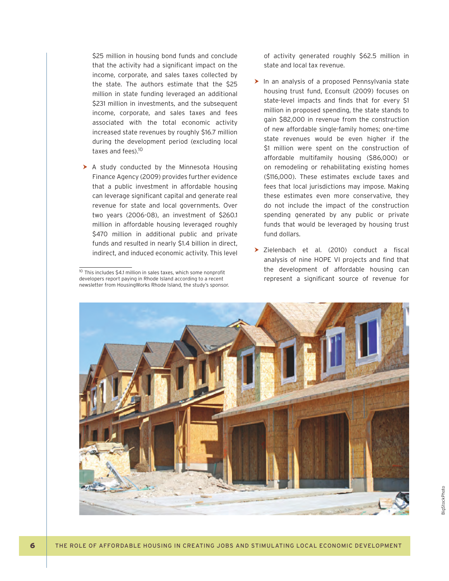\$25 million in housing bond funds and conclude that the activity had a significant impact on the income, corporate, and sales taxes collected by the state. The authors estimate that the \$25 million in state funding leveraged an additional \$231 million in investments, and the subsequent income, corporate, and sales taxes and fees associated with the total economic activity increased state revenues by roughly \$16.7 million during the development period (excluding local taxes and fees).<sup>10</sup>

 $\triangleright$  A study conducted by the Minnesota Housing Finance Agency (2009) provides further evidence that a public investment in affordable housing can leverage significant capital and generate real revenue for state and local governments. Over two years (2006-08), an investment of \$260.1 million in affordable housing leveraged roughly \$470 million in additional public and private funds and resulted in nearly \$1.4 billion in direct, indirect, and induced economic activity. This level of activity generated roughly \$62.5 million in state and local tax revenue.

- $\blacktriangleright$  In an analysis of a proposed Pennsylvania state housing trust fund, Econsult (2009) focuses on state-level impacts and finds that for every \$1 million in proposed spending, the state stands to gain \$82,000 in revenue from the construction of new affordable single-family homes; one-time state revenues would be even higher if the \$1 million were spent on the construction of affordable multifamily housing (\$86,000) or on remodeling or rehabilitating existing homes (\$116,000). These estimates exclude taxes and fees that local jurisdictions may impose. Making these estimates even more conservative, they do not include the impact of the construction spending generated by any public or private funds that would be leveraged by housing trust fund dollars.
- $\triangleright$  Zielenbach et al. (2010) conduct a fiscal analysis of nine HOPE VI projects and find that the development of affordable housing can represent a significant source of revenue for



 $10$  This includes \$4.1 million in sales taxes, which some nonprofit developers report paying in Rhode Island according to a recent newsletter from HousingWorks Rhode Island, the study's sponsor.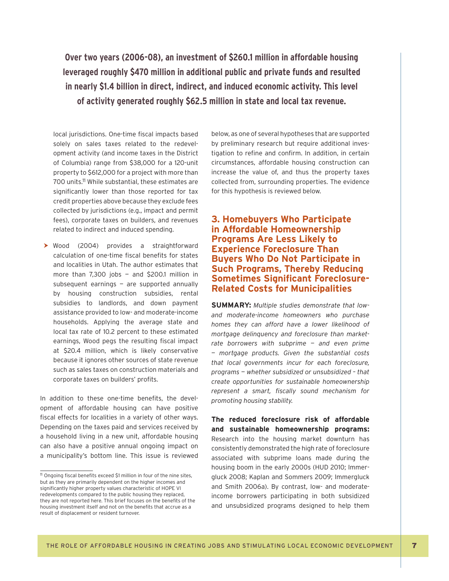**Over two years (2006-08), an investment of \$260.1 million in affordable housing leveraged roughly \$470 million in additional public and private funds and resulted in nearly \$1.4 billion in direct, indirect, and induced economic activity. This level of activity generated roughly \$62.5 million in state and local tax revenue.**

local jurisdictions. One-time fiscal impacts based solely on sales taxes related to the redevelopment activity (and income taxes in the District of Columbia) range from \$38,000 for a 120-unit property to \$612,000 for a project with more than 700 units.<sup>11</sup> While substantial, these estimates are significantly lower than those reported for tax credit properties above because they exclude fees collected by jurisdictions (e.g., impact and permit fees), corporate taxes on builders, and revenues related to indirect and induced spending.

▶ Wood (2004) provides a straightforward calculation of one-time fiscal benefits for states and localities in Utah. The author estimates that more than 7,300 jobs — and \$200.1 million in subsequent earnings  $-$  are supported annually by housing construction subsidies, rental subsidies to landlords, and down payment assistance provided to low- and moderate-income households. Applying the average state and local tax rate of 10.2 percent to these estimated earnings, Wood pegs the resulting fiscal impact at \$20.4 million, which is likely conservative because it ignores other sources of state revenue such as sales taxes on construction materials and corporate taxes on builders' profits.

In addition to these one-time benefits, the development of affordable housing can have positive fiscal effects for localities in a variety of other ways. Depending on the taxes paid and services received by a household living in a new unit, affordable housing can also have a positive annual ongoing impact on a municipality's bottom line. This issue is reviewed below, as one of several hypotheses that are supported by preliminary research but require additional investigation to refine and confirm. In addition, in certain circumstances, affordable housing construction can increase the value of, and thus the property taxes collected from, surrounding properties. The evidence for this hypothesis is reviewed below.

### **3. Homebuyers Who Participate in Affordable Homeownership Programs Are Less Likely to Experience Foreclosure Than Buyers Who Do Not Participate in Such Programs, Thereby Reducing Sometimes Significant Foreclosure-Related Costs for Municipalities**

**SUMMARY:** *Multiple studies demonstrate that lowand moderate-income homeowners who purchase homes they can afford have a lower likelihood of mortgage delinquency and foreclosure than marketrate borrowers with subprime — and even prime — mortgage products. Given the substantial costs that local governments incur for each foreclosure, programs — whether subsidized or unsubsidized – that create opportunities for sustainable homeownership*  represent a smart, fiscally sound mechanism for *promoting housing stability.* 

**The reduced foreclosure risk of affordable and sustainable homeownership programs:** Research into the housing market downturn has consistently demonstrated the high rate of foreclosure associated with subprime loans made during the housing boom in the early 2000s (HUD 2010; Immergluck 2008; Kaplan and Sommers 2009; Immergluck and Smith 2006a). By contrast, low- and moderateincome borrowers participating in both subsidized and unsubsidized programs designed to help them

<sup>&</sup>lt;sup>11</sup> Ongoing fiscal benefits exceed \$1 million in four of the nine sites, but as they are primarily dependent on the higher incomes and significantly higher property values characteristic of HOPE VI redevelopments compared to the public housing they replaced, they are not reported here. This brief focuses on the benefits of the housing investment itself and not on the benefits that accrue as a result of displacement or resident turnover.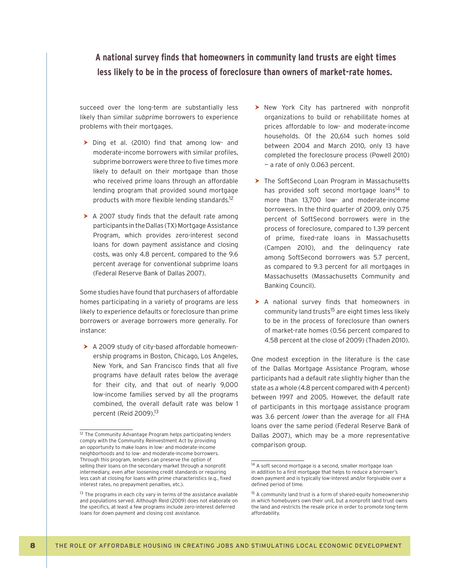A national survey finds that homeowners in community land trusts are eight times **less likely to be in the process of foreclosure than owners of market-rate homes.**

succeed over the long-term are substantially less likely than similar *subprime* borrowers to experience problems with their mortgages.

- $\triangleright$  Ding et al. (2010) find that among low- and moderate-income borrowers with similar profiles, subprime borrowers were three to five times more likely to default on their mortgage than those who received prime loans through an affordable lending program that provided sound mortgage products with more flexible lending standards.<sup>12</sup>
- $\triangleright$  A 2007 study finds that the default rate among participants in the Dallas (TX) Mortgage Assistance Program, which provides zero-interest second loans for down payment assistance and closing costs, was only 4.8 percent, compared to the 9.6 percent average for conventional subprime loans (Federal Reserve Bank of Dallas 2007).

Some studies have found that purchasers of affordable homes participating in a variety of programs are less likely to experience defaults or foreclosure than prime borrowers or average borrowers more generally. For instance:

 $\triangleright$  A 2009 study of city-based affordable homeownership programs in Boston, Chicago, Los Angeles, New York, and San Francisco finds that all five programs have default rates below the average for their city, and that out of nearly 9,000 low-income families served by all the programs combined, the overall default rate was below 1 percent (Reid 2009).<sup>13</sup>

- $\triangleright$  New York City has partnered with nonprofit organizations to build or rehabilitate homes at prices affordable to low- and moderate-income households. Of the 20,614 such homes sold between 2004 and March 2010, only 13 have completed the foreclosure process (Powell 2010) — a rate of only 0.063 percent.
- $\triangleright$  The SoftSecond Loan Program in Massachusetts has provided soft second mortgage loans<sup>14</sup> to more than 13,700 low- and moderate-income borrowers. In the third quarter of 2009, only 0.75 percent of SoftSecond borrowers were in the process of foreclosure, compared to 1.39 percent of prime, fixed-rate loans in Massachusetts (Campen 2010), and the delinquency rate among SoftSecond borrowers was 5.7 percent, as compared to 9.3 percent for all mortgages in Massachusetts (Massachusetts Community and Banking Council).
- $\triangleright$  A national survey finds that homeowners in community land trusts<sup>15</sup> are eight times less likely to be in the process of foreclosure than owners of market-rate homes (0.56 percent compared to 4.58 percent at the close of 2009) (Thaden 2010).

One modest exception in the literature is the case of the Dallas Mortgage Assistance Program, whose participants had a default rate slightly higher than the state as a whole (4.8 percent compared with 4 percent) between 1997 and 2005. However, the default rate of participants in this mortgage assistance program was 3.6 percent *lower* than the average for all FHA loans over the same period (Federal Reserve Bank of Dallas 2007), which may be a more representative comparison group.

<sup>&</sup>lt;sup>12</sup> The Community Advantage Program helps participating lenders comply with the Community Reinvestment Act by providing an opportunity to make loans in low- and moderate-income neighborhoods and to low- and moderate-income borrowers. Through this program, lenders can preserve the option of selling their loans on the secondary market through a nonprofit intermediary, even after loosening credit standards or requiring less cash at closing for loans with prime characteristics (e.g., fixed interest rates, no prepayment penalties, etc.).

<sup>&</sup>lt;sup>13</sup> The programs in each city vary in terms of the assistance available and populations served. Although Reid (2009) does not elaborate on the specifics, at least a few programs include zero-interest deferred loans for down payment and closing cost assistance.

<sup>&</sup>lt;sup>14</sup> A soft second mortgage is a second, smaller mortgage loan in addition to a first mortgage that helps to reduce a borrower's down payment and is typically low-interest and/or forgivable over a defined period of time.

<sup>&</sup>lt;sup>15</sup> A community land trust is a form of shared-equity homeownership in which homebuyers own their unit, but a nonprofit land trust owns the land and restricts the resale price in order to promote long-term affordability.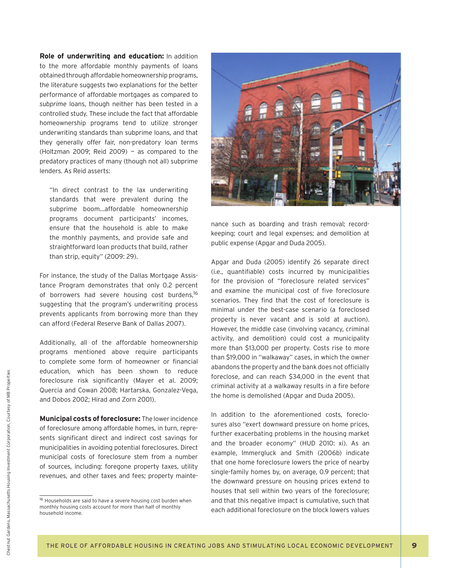**Role of underwriting and education:** In addition to the more affordable monthly payments of loans obtained through affordable homeownership programs, the literature suggests two explanations for the better performance of affordable mortgages as compared to *subprime* loans, though neither has been tested in a controlled study. These include the fact that affordable homeownership programs tend to utilize stronger underwriting standards than subprime loans, and that they generally offer fair, non-predatory loan terms (Holtzman 2009; Reid 2009) — as compared to the predatory practices of many (though not all) subprime lenders. As Reid asserts:

"In direct contrast to the lax underwriting standards that were prevalent during the subprime boom…affordable homeownership programs document participants' incomes, ensure that the household is able to make the monthly payments, and provide safe and straightforward loan products that build, rather than strip, equity" (2009: 29).

For instance, the study of the Dallas Mortgage Assistance Program demonstrates that only 0.2 percent of borrowers had severe housing cost burdens,<sup>16</sup> suggesting that the program's underwriting process prevents applicants from borrowing more than they can afford (Federal Reserve Bank of Dallas 2007).

Additionally, all of the affordable homeownership programs mentioned above require participants to complete some form of homeowner or financial education, which has been shown to reduce foreclosure risk significantly (Mayer et al. 2009; Quercia and Cowan 2008; Hartarska, Gonzalez-Vega, and Dobos 2002; Hirad and Zorn 2001).

**Municipal costs of foreclosure:** The lower incidence of foreclosure among affordable homes, in turn, represents significant direct and indirect cost savings for municipalities in avoiding potential foreclosures. Direct municipal costs of foreclosure stem from a number of sources, including: foregone property taxes, utility revenues, and other taxes and fees; property mainte-



nance such as boarding and trash removal; recordkeeping; court and legal expenses; and demolition at public expense (Apgar and Duda 2005).

Apgar and Duda (2005) identify 26 separate direct (i.e., quantifiable) costs incurred by municipalities for the provision of "foreclosure related services" and examine the municipal cost of five foreclosure scenarios. They find that the cost of foreclosure is minimal under the best-case scenario (a foreclosed property is never vacant and is sold at auction). However, the middle case (involving vacancy, criminal activity, and demolition) could cost a municipality more than \$13,000 per property. Costs rise to more than \$19,000 in "walkaway" cases, in which the owner abandons the property and the bank does not officially foreclose, and can reach \$34,000 in the event that criminal activity at a walkaway results in a fire before the home is demolished (Apgar and Duda 2005).

In addition to the aforementioned costs, foreclosures also "exert downward pressure on home prices, further exacerbating problems in the housing market and the broader economy" (HUD 2010: xi). As an example, Immergluck and Smith (2006b) indicate that one home foreclosure lowers the price of nearby single-family homes by, on average, 0.9 percent; that the downward pressure on housing prices extend to houses that sell within two years of the foreclosure; and that this negative impact is cumulative, such that each additional foreclosure on the block lowers values

<sup>&</sup>lt;sup>16</sup> Households are said to have a severe housing cost burden when monthly housing costs account for more than half of monthly household income.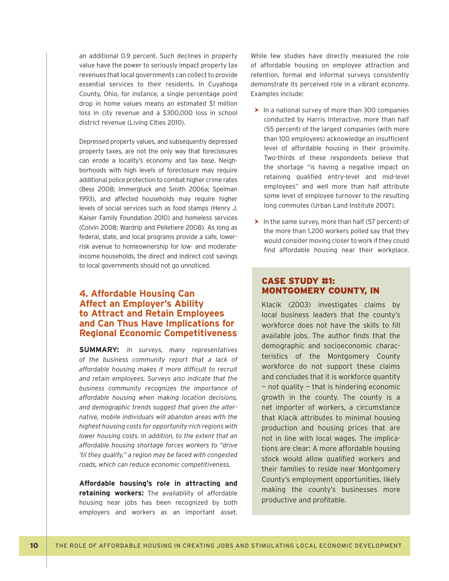an additional 0.9 percent. Such declines in property value have the power to seriously impact property tax revenues that local governments can collect to provide essential services to their residents. In Cuyahoga County, Ohio, for instance, a single percentage point drop in home values means an estimated \$1 million loss in city revenue and a \$300,000 loss in school district revenue (Living Cities 2010).

Depressed property values, and subsequently depressed property taxes, are not the only way that foreclosures can erode a locality's economy and tax base. Neighborhoods with high levels of foreclosure may require additional police protection to combat higher crime rates (Bess 2008; Immergluck and Smith 2006a; Spelman 1993), and affected households may require higher levels of social services such as food stamps (Henry J. Kaiser Family Foundation 2010) and homeless services (Colvin 2008; Wardrip and Pelletiere 2008). As long as federal, state, and local programs provide a safe, lowerrisk avenue to homeownership for low- and moderateincome households, the direct and indirect cost savings to local governments should not go unnoticed.

## **4. Affordable Housing Can Affect an Employer's Ability to Attract and Retain Employees and Can Thus Have Implications for Regional Economic Competitiveness**

**SUMMARY:** *In surveys, many representatives of the business community report that a lack of*  affordable housing makes it more difficult to recruit *and retain employees. Surveys also indicate that the business community recognizes the importance of affordable housing when making location decisions, and demographic trends suggest that given the alternative, mobile individuals will abandon areas with the highest housing costs for opportunity-rich regions with lower housing costs. In addition, to the extent that an affordable housing shortage forces workers to "drive 'til they qualify," a region may be faced with congested roads, which can reduce economic competitiveness.* 

**Affordable housing's role in attracting and retaining workers:** The availability of affordable housing near jobs has been recognized by both employers and workers as an important asset. While few studies have directly measured the role of affordable housing on employee attraction and retention, formal and informal surveys consistently demonstrate its perceived role in a vibrant economy. Examples include:

- $\blacktriangleright$  In a national survey of more than 300 companies conducted by Harris Interactive, more than half (55 percent) of the largest companies (with more than 100 employees) acknowledge an insufficient level of affordable housing in their proximity. Two-thirds of these respondents believe that the shortage "is having a negative impact on retaining qualified entry-level and mid-level employees" and well more than half attribute some level of employee turnover to the resulting long commutes (Urban Land Institute 2007).
- $\blacktriangleright$  In the same survey, more than half (57 percent) of the more than 1,200 workers polled say that they would consider moving closer to work if they could find affordable housing near their workplace.

#### CASE STUDY #1: MONTGOMERY COUNTY, IN

Klacik (2003) investigates claims by local business leaders that the county's workforce does not have the skills to fill available jobs. The author finds that the demographic and socioeconomic characteristics of the Montgomery County workforce do not support these claims and concludes that it is workforce quantity — not quality — that is hindering economic growth in the county. The county is a net importer of workers, a circumstance that Klacik attributes to minimal housing production and housing prices that are not in line with local wages. The implications are clear: A more affordable housing stock would allow qualified workers and their families to reside near Montgomery County's employment opportunities, likely making the county's businesses more productive and profitable.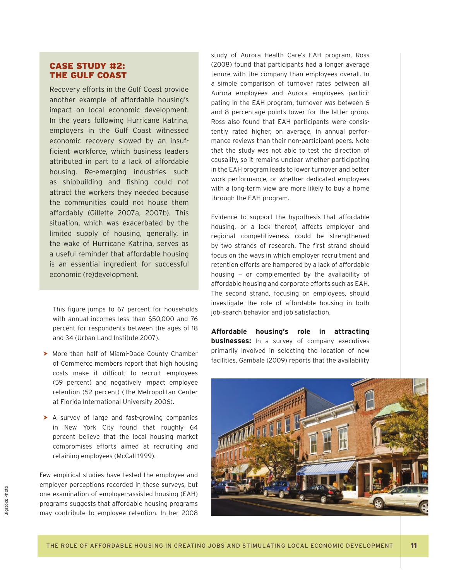## CASE STUDY #2: THE GULF COAST

Recovery efforts in the Gulf Coast provide another example of affordable housing's impact on local economic development. In the years following Hurricane Katrina, employers in the Gulf Coast witnessed economic recovery slowed by an insufficient workforce, which business leaders attributed in part to a lack of affordable housing. Re-emerging industries such as shipbuilding and fishing could not attract the workers they needed because the communities could not house them affordably (Gillette 2007a, 2007b). This situation, which was exacerbated by the limited supply of housing, generally, in the wake of Hurricane Katrina, serves as a useful reminder that affordable housing is an essential ingredient for successful economic (re)development.

This figure jumps to 67 percent for households with annual incomes less than \$50,000 and 76 percent for respondents between the ages of 18 and 34 (Urban Land Institute 2007).

- > More than half of Miami-Dade County Chamber of Commerce members report that high housing costs make it difficult to recruit employees (59 percent) and negatively impact employee retention (52 percent) (The Metropolitan Center at Florida International University 2006).
- $\blacktriangleright$  A survey of large and fast-growing companies in New York City found that roughly 64 percent believe that the local housing market compromises efforts aimed at recruiting and retaining employees (McCall 1999).

Few empirical studies have tested the employee and employer perceptions recorded in these surveys, but one examination of employer-assisted housing (EAH) programs suggests that affordable housing programs may contribute to employee retention. In her 2008 study of Aurora Health Care's EAH program, Ross (2008) found that participants had a longer average tenure with the company than employees overall. In a simple comparison of turnover rates between all Aurora employees and Aurora employees participating in the EAH program, turnover was between 6 and 8 percentage points lower for the latter group. Ross also found that EAH participants were consistently rated higher, on average, in annual performance reviews than their non-participant peers. Note that the study was not able to test the direction of causality, so it remains unclear whether participating in the EAH program leads to lower turnover and better work performance, or whether dedicated employees with a long-term view are more likely to buy a home through the EAH program.

Evidence to support the hypothesis that affordable housing, or a lack thereof, affects employer and regional competitiveness could be strengthened by two strands of research. The first strand should focus on the ways in which employer recruitment and retention efforts are hampered by a lack of affordable housing — or complemented by the availability of affordable housing and corporate efforts such as EAH. The second strand, focusing on employees, should investigate the role of affordable housing in both job-search behavior and job satisfaction.

**Affordable housing's role in attracting businesses:** In a survey of company executives primarily involved in selecting the location of new facilities, Gambale (2009) reports that the availability

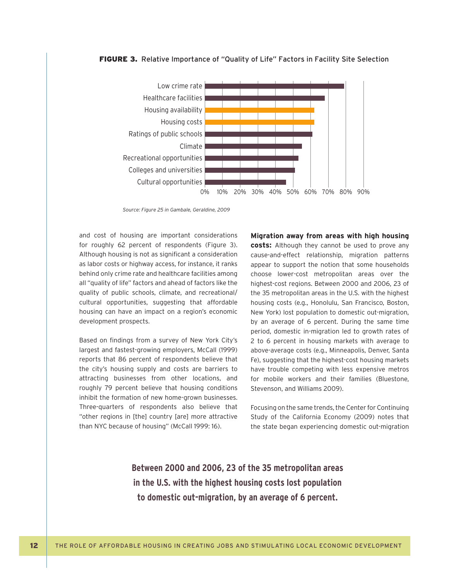



*Source: Figure 25 in Gambale, Geraldine, 2009*

and cost of housing are important considerations for roughly 62 percent of respondents (Figure 3). Although housing is not as significant a consideration as labor costs or highway access, for instance, it ranks behind only crime rate and healthcare facilities among all "quality of life" factors and ahead of factors like the quality of public schools, climate, and recreational/ cultural opportunities, suggesting that affordable housing can have an impact on a region's economic development prospects.

Based on findings from a survey of New York City's largest and fastest-growing employers, McCall (1999) reports that 86 percent of respondents believe that the city's housing supply and costs are barriers to attracting businesses from other locations, and roughly 79 percent believe that housing conditions inhibit the formation of new home-grown businesses. Three-quarters of respondents also believe that "other regions in [the] country [are] more attractive than NYC because of housing" (McCall 1999: 16).

**Migration away from areas with high housing costs:** Although they cannot be used to prove any cause-and-effect relationship, migration patterns appear to support the notion that some households choose lower-cost metropolitan areas over the highest-cost regions. Between 2000 and 2006, 23 of the 35 metropolitan areas in the U.S. with the highest housing costs (e.g., Honolulu, San Francisco, Boston, New York) lost population to domestic out-migration, by an average of 6 percent. During the same time period, domestic in-migration led to growth rates of 2 to 6 percent in housing markets with average to above-average costs (e.g., Minneapolis, Denver, Santa Fe), suggesting that the highest-cost housing markets have trouble competing with less expensive metros for mobile workers and their families (Bluestone, Stevenson, and Williams 2009).

Focusing on the same trends, the Center for Continuing Study of the California Economy (2009) notes that the state began experiencing domestic out-migration

**Between 2000 and 2006, 23 of the 35 metropolitan areas in the U.S. with the highest housing costs lost population to domestic out-migration, by an average of 6 percent.**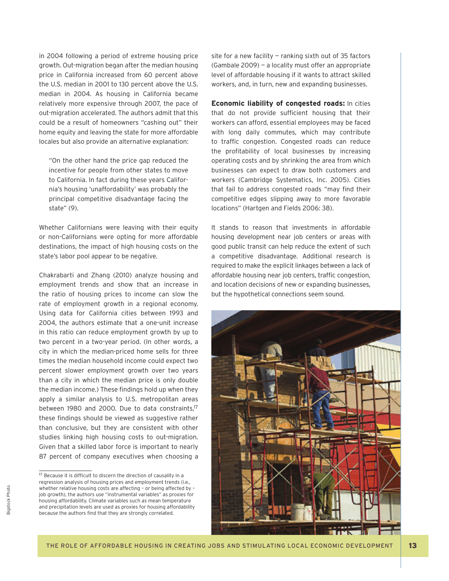in 2004 following a period of extreme housing price growth. Out-migration began after the median housing price in California increased from 60 percent above the U.S. median in 2001 to 130 percent above the U.S. median in 2004. As housing in California became relatively more expensive through 2007, the pace of out-migration accelerated. The authors admit that this could be a result of homeowners "cashing out" their home equity and leaving the state for more affordable locales but also provide an alternative explanation:

"On the other hand the price gap reduced the incentive for people from other states to move to California. In fact during these years California's housing 'unaffordability' was probably the principal competitive disadvantage facing the state" (9).

Whether Californians were leaving with their equity or non-Californians were opting for more affordable destinations, the impact of high housing costs on the state's labor pool appear to be negative.

Chakrabarti and Zhang (2010) analyze housing and employment trends and show that an increase in the ratio of housing prices to income can slow the rate of employment growth in a regional economy. Using data for California cities between 1993 and 2004, the authors estimate that a one-unit increase in this ratio can reduce employment growth by up to two percent in a two-year period. (In other words, a city in which the median-priced home sells for three times the median household income could expect two percent slower employment growth over two years than a city in which the median price is only double the median income.) These findings hold up when they apply a similar analysis to U.S. metropolitan areas between 1980 and 2000. Due to data constraints,<sup>17</sup> these findings should be viewed as suggestive rather than conclusive, but they are consistent with other studies linking high housing costs to out-migration. Given that a skilled labor force is important to nearly 87 percent of company executives when choosing a

**Bigstock Photo** Bigstock Photo

site for a new facility — ranking sixth out of 35 factors (Gambale 2009) — a locality must offer an appropriate level of affordable housing if it wants to attract skilled workers, and, in turn, new and expanding businesses.

**Economic liability of congested roads:** In cities that do not provide sufficient housing that their workers can afford, essential employees may be faced with long daily commutes, which may contribute to traffic congestion. Congested roads can reduce the profitability of local businesses by increasing operating costs and by shrinking the area from which businesses can expect to draw both customers and workers (Cambridge Systematics, Inc. 2005). Cities that fail to address congested roads "may find their competitive edges slipping away to more favorable locations" (Hartgen and Fields 2006: 38).

It stands to reason that investments in affordable housing development near job centers or areas with good public transit can help reduce the extent of such a competitive disadvantage. Additional research is required to make the explicit linkages between a lack of affordable housing near job centers, traffic congestion, and location decisions of new or expanding businesses, but the hypothetical connections seem sound.



 $17$  Because it is difficult to discern the direction of causality in a regression analysis of housing prices and employment trends (i.e., whether relative housing costs are affecting – or being affected by – job growth), the authors use "instrumental variables" as proxies for housing affordability. Climate variables such as mean temperature and precipitation levels are used as proxies for housing affordability because the authors find that they are strongly correlated.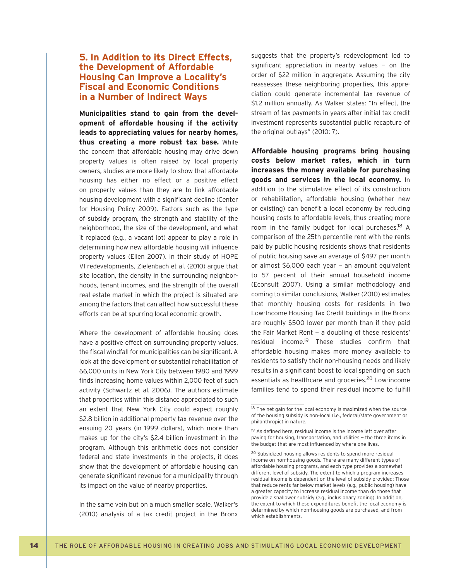## **5. In Addition to its Direct Effects, the Development of Affordable Housing Can Improve a Locality's Fiscal and Economic Conditions in a Number of Indirect Ways**

**Municipalities stand to gain from the development of affordable housing if the activity leads to appreciating values for nearby homes, thus creating a more robust tax base.** While the concern that affordable housing may drive down property values is often raised by local property owners, studies are more likely to show that affordable housing has either no effect or a positive effect on property values than they are to link affordable housing development with a significant decline (Center for Housing Policy 2009). Factors such as the type of subsidy program, the strength and stability of the neighborhood, the size of the development, and what it replaced (e.g., a vacant lot) appear to play a role in determining how new affordable housing will influence property values (Ellen 2007). In their study of HOPE VI redevelopments, Zielenbach et al. (2010) argue that site location, the density in the surrounding neighborhoods, tenant incomes, and the strength of the overall real estate market in which the project is situated are among the factors that can affect how successful these efforts can be at spurring local economic growth.

Where the development of affordable housing does have a positive effect on surrounding property values, the fiscal windfall for municipalities can be significant. A look at the development or substantial rehabilitation of 66,000 units in New York City between 1980 and 1999 finds increasing home values within 2,000 feet of such activity (Schwartz et al. 2006). The authors estimate that properties within this distance appreciated to such an extent that New York City could expect roughly \$2.8 billion in additional property tax revenue over the ensuing 20 years (in 1999 dollars), which more than makes up for the city's \$2.4 billion investment in the program. Although this arithmetic does not consider federal and state investments in the projects, it does show that the development of affordable housing can generate significant revenue for a municipality through its impact on the value of nearby properties.

In the same vein but on a much smaller scale, Walker's (2010) analysis of a tax credit project in the Bronx suggests that the property's redevelopment led to significant appreciation in nearby values  $-$  on the order of \$22 million in aggregate. Assuming the city reassesses these neighboring properties, this appreciation could generate incremental tax revenue of \$1.2 million annually. As Walker states: "In effect, the stream of tax payments in years after initial tax credit investment represents substantial public recapture of the original outlays" (2010: 7).

**Affordable housing programs bring housing costs below market rates, which in turn increases the money available for purchasing goods and services in the local economy.** In addition to the stimulative effect of its construction or rehabilitation, affordable housing (whether new or existing) can benefit a local economy by reducing housing costs to affordable levels, thus creating more room in the family budget for local purchases.<sup>18</sup> A comparison of the 25th percentile rent with the rents paid by public housing residents shows that residents of public housing save an average of \$497 per month or almost \$6,000 each year — an amount equivalent to 57 percent of their annual household income (Econsult 2007). Using a similar methodology and coming to similar conclusions, Walker (2010) estimates that monthly housing costs for residents in two Low-Income Housing Tax Credit buildings in the Bronx are roughly \$500 lower per month than if they paid the Fair Market Rent — a doubling of these residents' residual income.<sup>19</sup> These studies confirm that affordable housing makes more money available to residents to satisfy their non-housing needs and likely results in a significant boost to local spending on such essentials as healthcare and groceries.<sup>20</sup> Low-income families tend to spend their residual income to fulfill

<sup>&</sup>lt;sup>18</sup> The net gain for the local economy is maximized when the source of the housing subsidy is non-local (i.e., federal/state government or philanthropic) in nature.

<sup>&</sup>lt;sup>19</sup> As defined here, residual income is the income left over after paying for housing, transportation, and utilities — the three items in the budget that are most influenced by where one lives.

<sup>&</sup>lt;sup>20</sup> Subsidized housing allows residents to spend more residual income on non-housing goods. There are many different types of affordable housing programs, and each type provides a somewhat different level of subsidy. The extent to which a program increases residual income is dependent on the level of subsidy provided: Those that reduce rents far below market levels (e.g., public housing) have a greater capacity to increase residual income than do those that provide a shallower subsidy (e.g., inclusionary zoning). In addition, the extent to which these expenditures benefit the local economy is determined by which non-housing goods are purchased, and from which establishments.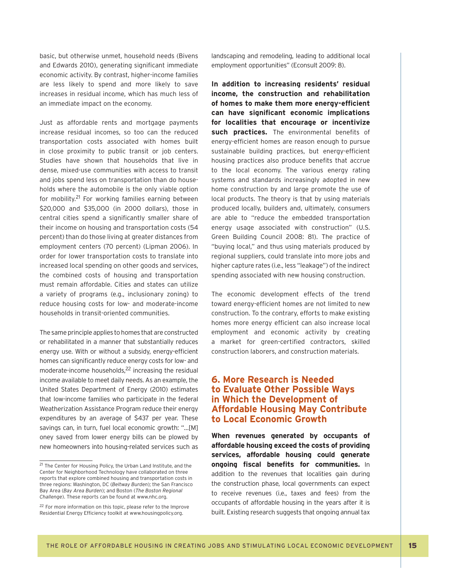basic, but otherwise unmet, household needs (Bivens and Edwards 2010), generating significant immediate economic activity. By contrast, higher-income families are less likely to spend and more likely to save increases in residual income, which has much less of an immediate impact on the economy.

Just as affordable rents and mortgage payments increase residual incomes, so too can the reduced transportation costs associated with homes built in close proximity to public transit or job centers. Studies have shown that households that live in dense, mixed-use communities with access to transit and jobs spend less on transportation than do households where the automobile is the only viable option for mobility.21 For working families earning between \$20,000 and \$35,000 (in 2000 dollars), those in central cities spend a significantly smaller share of their income on housing and transportation costs (54 percent) than do those living at greater distances from employment centers (70 percent) (Lipman 2006). In order for lower transportation costs to translate into increased local spending on other goods and services, the combined costs of housing and transportation must remain affordable. Cities and states can utilize a variety of programs (e.g., inclusionary zoning) to reduce housing costs for low- and moderate-income households in transit-oriented communities.

The same principle applies to homes that are constructed or rehabilitated in a manner that substantially reduces energy use. With or without a subsidy, energy-efficient homes can significantly reduce energy costs for low- and moderate-income households,<sup>22</sup> increasing the residual income available to meet daily needs. As an example, the United States Department of Energy (2010) estimates that low-income families who participate in the federal Weatherization Assistance Program reduce their energy expenditures by an average of \$437 per year. These savings can, in turn, fuel local economic growth: "…[M] oney saved from lower energy bills can be plowed by new homeowners into housing-related services such as

landscaping and remodeling, leading to additional local employment opportunities" (Econsult 2009: 8).

**In addition to increasing residents' residual income, the construction and rehabilitation**  of homes to make them more energy-efficient can have significant economic implications **for localities that encourage or incentivize**  such practices. The environmental benefits of energy-efficient homes are reason enough to pursue sustainable building practices, but energy-efficient housing practices also produce benefits that accrue to the local economy. The various energy rating systems and standards increasingly adopted in new home construction by and large promote the use of local products. The theory is that by using materials produced locally, builders and, ultimately, consumers are able to "reduce the embedded transportation energy usage associated with construction" (U.S. Green Building Council 2008: 81). The practice of "buying local," and thus using materials produced by regional suppliers, could translate into more jobs and higher capture rates (i.e., less "leakage") of the indirect spending associated with new housing construction.

The economic development effects of the trend toward energy-efficient homes are not limited to new construction. To the contrary, efforts to make existing homes more energy efficient can also increase local employment and economic activity by creating a market for green-certified contractors, skilled construction laborers, and construction materials.

## **6. More Research is Needed to Evaluate Other Possible Ways in Which the Development of Affordable Housing May Contribute to Local Economic Growth**

**When revenues generated by occupants of affordable housing exceed the costs of providing services, affordable housing could generate ongoing fiscal benefits for communities.** In addition to the revenues that localities gain during the construction phase, local governments can expect to receive revenues (i.e., taxes and fees) from the occupants of affordable housing in the years after it is built. Existing research suggests that ongoing annual tax

<sup>21</sup> The Center for Housing Policy, the Urban Land Institute, and the Center for Neighborhood Technology have collaborated on three reports that explore combined housing and transportation costs in three regions: Washington, DC (*Beltway Burden*); the San Francisco Bay Area (*Bay Area Burden*); and Boston (*The Boston Regional Challenge*). These reports can be found at www.nhc.org.

<sup>&</sup>lt;sup>22</sup> For more information on this topic, please refer to the Improve Residential Energy Efficiency toolkit at www.housingpolicy.org.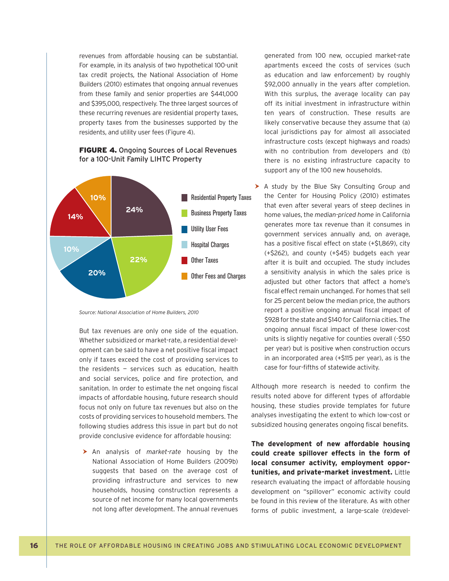revenues from affordable housing can be substantial. For example, in its analysis of two hypothetical 100-unit tax credit projects, the National Association of Home Builders (2010) estimates that ongoing annual revenues from these family and senior properties are \$441,000 and \$395,000, respectively. The three largest sources of these recurring revenues are residential property taxes, property taxes from the businesses supported by the residents, and utility user fees (Figure 4).

#### **FIGURE 4.** Ongoing Sources of Local Revenues for a 100-Unit Family LIHTC Property



*Source: National Association of Home Builders, 2010*

But tax revenues are only one side of the equation. Whether subsidized or market-rate, a residential development can be said to have a net positive fiscal impact only if taxes exceed the cost of providing services to the residents — services such as education, health and social services, police and fire protection, and sanitation. In order to estimate the net ongoing fiscal impacts of affordable housing, future research should focus not only on future tax revenues but also on the costs of providing services to household members. The following studies address this issue in part but do not provide conclusive evidence for affordable housing:

h An analysis of *market-rate* housing by the National Association of Home Builders (2009b) suggests that based on the average cost of providing infrastructure and services to new households, housing construction represents a source of net income for many local governments not long after development. The annual revenues generated from 100 new, occupied market-rate apartments exceed the costs of services (such as education and law enforcement) by roughly \$92,000 annually in the years after completion. With this surplus, the average locality can pay off its initial investment in infrastructure within ten years of construction. These results are likely conservative because they assume that (a) local jurisdictions pay for almost all associated infrastructure costs (except highways and roads) with no contribution from developers and (b) there is no existing infrastructure capacity to support any of the 100 new households.

 $\triangleright$  A study by the Blue Sky Consulting Group and the Center for Housing Policy (2010) estimates that even after several years of steep declines in home values, the *median-priced home* in California generates more tax revenue than it consumes in government services annually and, on average, has a positive fiscal effect on state  $(+\text{ }51,869)$ , city (+\$262), and county (+\$45) budgets each year after it is built and occupied. The study includes a sensitivity analysis in which the sales price is adjusted but other factors that affect a home's fiscal effect remain unchanged. For homes that sell for 25 percent below the median price, the authors report a positive ongoing annual fiscal impact of \$928 for the state and \$140 for California cities. The ongoing annual fiscal impact of these lower-cost units is slightly negative for counties overall (-\$50 per year) but is positive when construction occurs in an incorporated area (+\$115 per year), as is the case for four-fifths of statewide activity.

Although more research is needed to confirm the results noted above for different types of affordable housing, these studies provide templates for future analyses investigating the extent to which low-cost or subsidized housing generates ongoing fiscal benefits.

**The development of new affordable housing could create spillover effects in the form of local consumer activity, employment opportunities, and private-market investment.** Little research evaluating the impact of affordable housing development on "spillover" economic activity could be found in this review of the literature. As with other forms of public investment, a large-scale (re)devel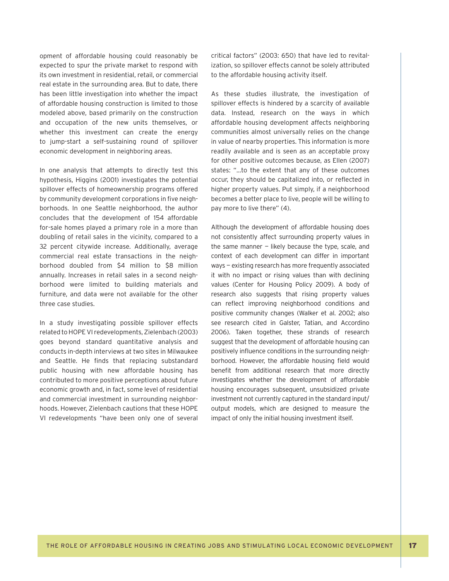opment of affordable housing could reasonably be expected to spur the private market to respond with its own investment in residential, retail, or commercial real estate in the surrounding area. But to date, there has been little investigation into whether the impact of affordable housing construction is limited to those modeled above, based primarily on the construction and occupation of the new units themselves, or whether this investment can create the energy to jump-start a self-sustaining round of spillover economic development in neighboring areas.

In one analysis that attempts to directly test this hypothesis, Higgins (2001) investigates the potential spillover effects of homeownership programs offered by community development corporations in five neighborhoods. In one Seattle neighborhood, the author concludes that the development of 154 affordable for-sale homes played a primary role in a more than doubling of retail sales in the vicinity, compared to a 32 percent citywide increase. Additionally, average commercial real estate transactions in the neighborhood doubled from \$4 million to \$8 million annually. Increases in retail sales in a second neighborhood were limited to building materials and furniture, and data were not available for the other three case studies.

In a study investigating possible spillover effects related to HOPE VI redevelopments, Zielenbach (2003) goes beyond standard quantitative analysis and conducts in-depth interviews at two sites in Milwaukee and Seattle. He finds that replacing substandard public housing with new affordable housing has contributed to more positive perceptions about future economic growth and, in fact, some level of residential and commercial investment in surrounding neighborhoods. However, Zielenbach cautions that these HOPE VI redevelopments "have been only one of several critical factors" (2003: 650) that have led to revitalization, so spillover effects cannot be solely attributed to the affordable housing activity itself.

As these studies illustrate, the investigation of spillover effects is hindered by a scarcity of available data. Instead, research on the ways in which affordable housing development affects neighboring communities almost universally relies on the change in value of nearby properties. This information is more readily available and is seen as an acceptable proxy for other positive outcomes because, as Ellen (2007) states: "…to the extent that any of these outcomes occur, they should be capitalized into, or reflected in higher property values. Put simply, if a neighborhood becomes a better place to live, people will be willing to pay more to live there" (4).

Although the development of affordable housing does not consistently affect surrounding property values in the same manner  $-$  likely because the type, scale, and context of each development can differ in important ways — existing research has more frequently associated it with no impact or rising values than with declining values (Center for Housing Policy 2009). A body of research also suggests that rising property values can reflect improving neighborhood conditions and positive community changes (Walker et al. 2002; also see research cited in Galster, Tatian, and Accordino 2006). Taken together, these strands of research suggest that the development of affordable housing can positively influence conditions in the surrounding neighborhood. However, the affordable housing field would benefit from additional research that more directly investigates whether the development of affordable housing encourages subsequent, unsubsidized private investment not currently captured in the standard input/ output models, which are designed to measure the impact of only the initial housing investment itself.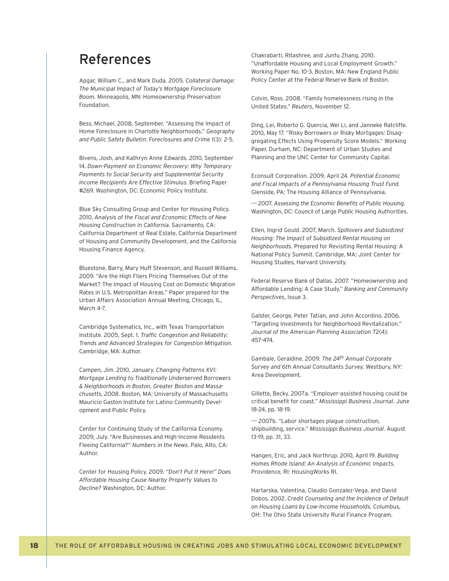## References

Apgar, William C., and Mark Duda. 2005. *Collateral Damage: The Municipal Impact of Today's Mortgage Foreclosure Boom.* Minneapolis, MN: Homeownership Preservation Foundation.

Bess, Michael. 2008, September. "Assessing the Impact of Home Foreclosure in Charlotte Neighborhoods." *Geography and Public Safety Bulletin: Foreclosures and Crime* 1(3): 2-5.

Bivens, Josh, and Kathryn Anne Edwards. 2010, September 14. *Down-Payment on Economic Recovery: Why Temporary Payments to Social Security and Supplemental Security Income Recipients Are Effective Stimulus.* Briefing Paper #269. Washington, DC: Economic Policy Institute.

Blue Sky Consulting Group and Center for Housing Policy. 2010. *Analysis of the Fiscal and Economic Effects of New Housing Construction in California.* Sacramento, CA: California Department of Real Estate, California Department of Housing and Community Development, and the California Housing Finance Agency.

Bluestone, Barry, Mary Huff Stevenson, and Russell Williams. 2009. "Are the High Fliers Pricing Themselves Out of the Market? The Impact of Housing Cost on Domestic Migration Rates in U.S. Metropolitan Areas." Paper prepared for the Urban Affairs Association Annual Meeting, Chicago, IL, March 4-7

Cambridge Systematics, Inc., with Texas Transportation Institute. 2005, Sept. 1. *Traffic Congestion and Reliability: Trends and Advanced Strategies for Congestion Mitigation.* Cambridge, MA: Author.

Campen, Jim. 2010, January. *Changing Patterns XVI: Mortgage Lending to Traditionally Underserved Borrowers & Neighborhoods in Boston, Greater Boston and Massachusetts, 2008*. Boston, MA: University of Massachusetts Mauricio Gaston Institute for Latino Community Development and Public Policy.

Center for Continuing Study of the California Economy. 2009, July. "Are Businesses and High-Income Residents Fleeing California?" *Numbers in the News*. Palo, Alto, CA: Author.

Center for Housing Policy. 2009. *"Don't Put It Here!" Does Affordable Housing Cause Nearby Property Values to Decline?* Washington, DC: Author.

Chakrabarti, Ritashree, and Junfu Zhang. 2010. "Unaffordable Housing and Local Employment Growth." Working Paper No. 10-3. Boston, MA: New England Public Policy Center at the Federal Reserve Bank of Boston.

Colvin, Ross. 2008. "Family homelessness rising in the United States." *Reuters*, November 12.

Ding, Lei, Roberto G. Quercia, Wei Li, and Janneke Ratcliffe. 2010, May 17. "Risky Borrowers or Risky Mortgages: Disaggregating Effects Using Propensity Score Models." Working Paper. Durham, NC: Department of Urban Studies and Planning and the UNC Center for Community Capital.

Econsult Corporation. 2009, April 24. *Potential Economic and Fiscal Impacts of a Pennsylvania Housing Trust Fund.*  Glenside, PA: The Housing Alliance of Pennsylvania.

 $-$ -- 2007. Assessing the Economic Benefits of Public Housing. Washington, DC: Council of Large Public Housing Authorities.

Ellen, Ingrid Gould. 2007, March. *Spillovers and Subsidized Housing: The Impact of Subsidized Rental Housing on Neighborhoods.* Prepared for Revisiting Rental Housing: A National Policy Summit. Cambridge, MA: Joint Center for Housing Studies, Harvard University.

Federal Reserve Bank of Dallas. 2007. "Homeownership and Affordable Lending: A Case Study." *Banking and Community Perspectives*, Issue 3.

Galster, George, Peter Tatian, and John Accordino. 2006. "Targeting Investments for Neighborhood Revitalization." *Journal of the American Planning Association* 72(4): 457-474.

Gambale, Geraldine. 2009. *The 24th Annual Corporate Survey and 6th Annual Consultants Survey.* Westbury, NY: Area Development.

Gillette, Becky. 2007a. "Employer-assisted housing could be critical benefit for coast." Mississippi Business Journal. June 18-24, pp. 18-19.

--- 2007b. "Labor shortages plague construction, shipbuilding, service." *Mississippi Business Journal*. August 13-19, pp. 31, 33.

Hangen, Eric, and Jack Northrup. 2010, April 19. *Building Homes Rhode Island: An Analysis of Economic Impacts*. Providence, RI: HousingWorks RI.

Hartarska, Valentina, Claudio Gonzalez-Vega, and David Dobos. 2002. *Credit Counseling and the Incidence of Default on Housing Loans by Low-Income Households.* Columbus, OH: The Ohio State University Rural Finance Program.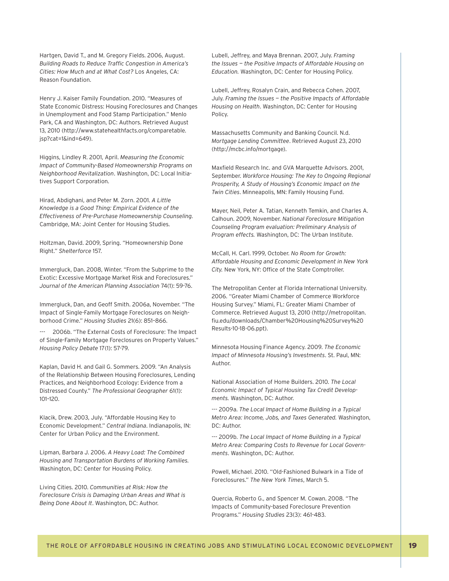Hartgen, David T., and M. Gregory Fields. 2006, August. **Building Roads to Reduce Traffic Congestion in America's** *Cities: How Much and at What Cost?* Los Angeles, CA: Reason Foundation.

Henry J. Kaiser Family Foundation. 2010. "Measures of State Economic Distress: Housing Foreclosures and Changes in Unemployment and Food Stamp Participation." Menlo Park, CA and Washington, DC: Authors. Retrieved August 13, 2010 (http://www.statehealthfacts.org/comparetable. jsp?cat=1&ind=649).

Higgins, Lindley R. 2001, April. *Measuring the Economic Impact of Community-Based Homeownership Programs on Neighborhood Revitalization*. Washington, DC: Local Initiatives Support Corporation.

Hirad, Abdighani, and Peter M. Zorn. 2001. *A Little Knowledge is a Good Thing: Empirical Evidence of the Effectiveness of Pre-Purchase Homeownership Counseling.*  Cambridge, MA: Joint Center for Housing Studies.

Holtzman, David. 2009, Spring. "Homeownership Done Right." *Shelterforce* 157.

Immergluck, Dan. 2008, Winter. "From the Subprime to the Exotic: Excessive Mortgage Market Risk and Foreclosures." *Journal of the American Planning Association* 74(1): 59-76.

Immergluck, Dan, and Geoff Smith. 2006a, November. "The Impact of Single-Family Mortgage Foreclosures on Neighborhood Crime." *Housing Studies* 21(6): 851–866.

2006b. "The External Costs of Foreclosure: The Impact of Single-Family Mortgage Foreclosures on Property Values." *Housing Policy Debate* 17(1): 57-79.

Kaplan, David H. and Gail G. Sommers. 2009. "An Analysis of the Relationship Between Housing Foreclosures, Lending Practices, and Neighborhood Ecology: Evidence from a Distressed County." *The Professional Geographer* 61(1): 101–120.

Klacik, Drew. 2003, July. "Affordable Housing Key to Economic Development." *Central Indiana*. Indianapolis, IN: Center for Urban Policy and the Environment.

Lipman, Barbara J. 2006. *A Heavy Load: The Combined Housing and Transportation Burdens of Working Families.*  Washington, DC: Center for Housing Policy.

Living Cities. 2010. *Communities at Risk: How the Foreclosure Crisis is Damaging Urban Areas and What is Being Done About It*. Washington, DC: Author.

Lubell, Jeffrey, and Maya Brennan. 2007, July. *Framing the Issues — the Positive Impacts of Affordable Housing on Education.* Washington, DC: Center for Housing Policy.

Lubell, Jeffrey, Rosalyn Crain, and Rebecca Cohen. 2007, July. *Framing the Issues — the Positive Impacts of Affordable Housing on Health*. Washington, DC: Center for Housing Policy.

Massachusetts Community and Banking Council. N.d. *Mortgage Lending Committee*. Retrieved August 23, 2010 (http://mcbc.info/mortgage).

Maxfield Research Inc. and GVA Marquette Advisors. 2001, September. *Workforce Housing: The Key to Ongoing Regional Prosperity, A Study of Housing's Economic Impact on the Twin Cities*. Minneapolis, MN: Family Housing Fund.

Mayer, Neil, Peter A. Tatian, Kenneth Temkin, and Charles A. Calhoun. 2009, November. *National Foreclosure Mitigation Counseling Program evaluation: Preliminary Analysis of Program effects.* Washington, DC: The Urban Institute.

McCall, H. Carl. 1999, October. *No Room for Growth: Affordable Housing and Economic Development in New York*  City. New York, NY: Office of the State Comptroller.

The Metropolitan Center at Florida International University. 2006. "Greater Miami Chamber of Commerce Workforce Housing Survey." Miami, FL: Greater Miami Chamber of Commerce. Retrieved August 13, 2010 (http://metropolitan. fi u.edu/downloads/Chamber%20Housing%20Survey%20 Results-10-18-06.ppt).

Minnesota Housing Finance Agency. 2009. *The Economic Impact of Minnesota Housing's Investments*. St. Paul, MN: Author.

National Association of Home Builders. 2010. *The Local Economic Impact of Typical Housing Tax Credit Developments.* Washington, DC: Author.

--- 2009a. *The Local Impact of Home Building in a Typical Metro Area: Income, Jobs, and Taxes Generated.* Washington, DC: Author.

--- 2009b. *The Local Impact of Home Building in a Typical Metro Area: Comparing Costs to Revenue for Local Governments*. Washington, DC: Author.

Powell, Michael. 2010. "Old-Fashioned Bulwark in a Tide of Foreclosures." *The New York Times*, March 5.

Quercia, Roberto G., and Spencer M. Cowan. 2008. "The Impacts of Community-based Foreclosure Prevention Programs." *Housing Studies* 23(3): 461-483.